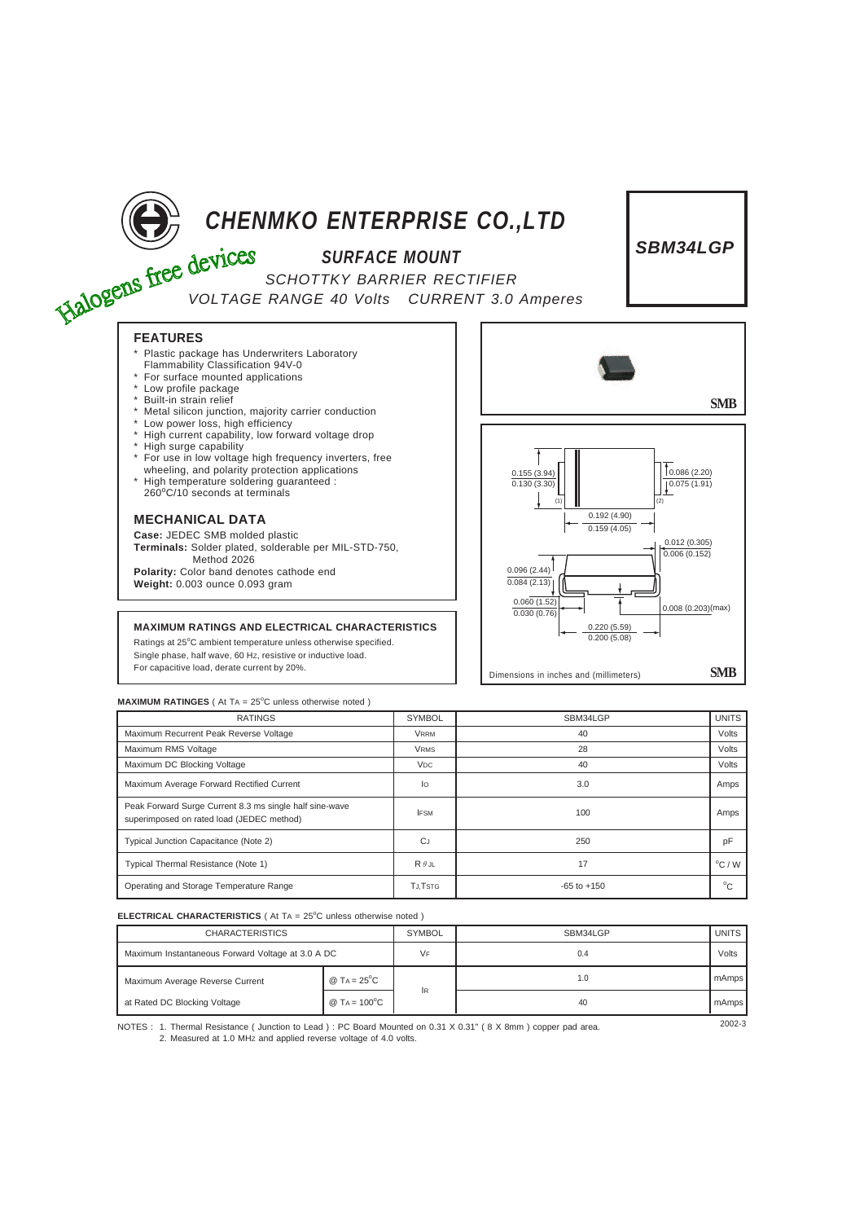

Ratings at 25°C ambient temperature unless otherwise specified. Single phase, half wave, 60 HZ, resistive or inductive load. For capacitive load, derate current by 20%.

## **MAXIMUM RATINGES** ( At TA = 25°C unless otherwise noted )

| <b>RATINGS</b>                                                                                       | <b>SYMBOL</b>         | SBM34LGP        | <b>UNITS</b>    |
|------------------------------------------------------------------------------------------------------|-----------------------|-----------------|-----------------|
| Maximum Recurrent Peak Reverse Voltage                                                               | <b>VRRM</b>           | 40              | Volts           |
| Maximum RMS Voltage                                                                                  | <b>VRMS</b>           | 28              | Volts           |
| Maximum DC Blocking Voltage                                                                          | <b>V<sub>DC</sub></b> | 40              | Volts           |
| Maximum Average Forward Rectified Current                                                            | lo                    | 3.0             | Amps            |
| Peak Forward Surge Current 8.3 ms single half sine-wave<br>superimposed on rated load (JEDEC method) | <b>IFSM</b>           | 100             | Amps            |
| Typical Junction Capacitance (Note 2)                                                                | CJ                    | 250             | pF              |
| Typical Thermal Resistance (Note 1)                                                                  | $R \theta$ JL         | 17              | $\rm ^{o}C$ / W |
| Operating and Storage Temperature Range                                                              | <b>TJ.TSTG</b>        | $-65$ to $+150$ | $^{\circ}C$     |

Dimensions in inches and (millimeters) **SMB**

## **ELECTRICAL CHARACTERISTICS** ( At TA = 25°C unless otherwise noted )

| <b>CHARACTERISTICS</b>                            |                          | <b>SYMBOL</b> | SBM34LGP | <b>UNITS</b> |
|---------------------------------------------------|--------------------------|---------------|----------|--------------|
| Maximum Instantaneous Forward Voltage at 3.0 A DC |                          | VF            | 0.4      | Volts        |
| Maximum Average Reverse Current                   | @ $TA = 25^{\circ}C$     | lR.           | 1.0      | mAmps        |
| at Rated DC Blocking Voltage                      | $@$ TA = $100^{\circ}$ C |               | 40       | mAmps        |

NOTES : 2002-3 1. Thermal Resistance ( Junction to Lead ) : PC Board Mounted on 0.31 X 0.31" ( 8 X 8mm ) copper pad area. 2. Measured at 1.0 MHz and applied reverse voltage of 4.0 volts.